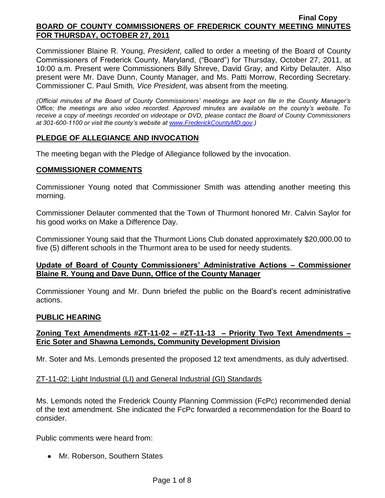Commissioner Blaine R. Young, *President*, called to order a meeting of the Board of County Commissioners of Frederick County, Maryland, ("Board") for Thursday, October 27, 2011, at 10:00 a.m. Present were Commissioners Billy Shreve, David Gray, and Kirby Delauter. Also present were Mr. Dave Dunn, County Manager, and Ms. Patti Morrow, Recording Secretary. Commissioner C. Paul Smith*, Vice President*, was absent from the meeting.

*(Official minutes of the Board of County Commissioners' meetings are kept on file in the County Manager's Office; the meetings are also video recorded. Approved minutes are available on the county's website. To receive a copy of meetings recorded on videotape or DVD, please contact the Board of County Commissioners at 301-600-1100 or visit the county's website at [www.FrederickCountyMD.gov.](http://www.frederickcountymd.gov/))*

# **PLEDGE OF ALLEGIANCE AND INVOCATION**

The meeting began with the Pledge of Allegiance followed by the invocation.

### **COMMISSIONER COMMENTS**

Commissioner Young noted that Commissioner Smith was attending another meeting this morning.

Commissioner Delauter commented that the Town of Thurmont honored Mr. Calvin Saylor for his good works on Make a Difference Day.

Commissioner Young said that the Thurmont Lions Club donated approximately \$20,000.00 to five (5) different schools in the Thurmont area to be used for needy students.

### **Update of Board of County Commissioners' Administrative Actions – Commissioner Blaine R. Young and Dave Dunn, Office of the County Manager**

Commissioner Young and Mr. Dunn briefed the public on the Board's recent administrative actions.

### **PUBLIC HEARING**

# **Zoning Text Amendments #ZT-11-02 – #ZT-11-13 – Priority Two Text Amendments – Eric Soter and Shawna Lemonds, Community Development Division**

Mr. Soter and Ms. Lemonds presented the proposed 12 text amendments, as duly advertised.

### ZT-11-02: Light Industrial (LI) and General Industrial (GI) Standards

Ms. Lemonds noted the Frederick County Planning Commission (FcPc) recommended denial of the text amendment. She indicated the FcPc forwarded a recommendation for the Board to consider.

Public comments were heard from:

• Mr. Roberson, Southern States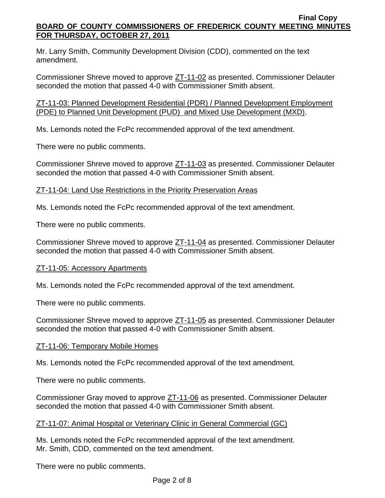Mr. Larry Smith, Community Development Division (CDD), commented on the text amendment.

Commissioner Shreve moved to approve ZT-11-02 as presented. Commissioner Delauter seconded the motion that passed 4-0 with Commissioner Smith absent.

ZT-11-03: Planned Development Residential (PDR) / Planned Development Employment (PDE) to Planned Unit Development (PUD) and Mixed Use Development (MXD).

Ms. Lemonds noted the FcPc recommended approval of the text amendment.

There were no public comments.

Commissioner Shreve moved to approve ZT-11-03 as presented. Commissioner Delauter seconded the motion that passed 4-0 with Commissioner Smith absent.

# ZT-11-04: Land Use Restrictions in the Priority Preservation Areas

Ms. Lemonds noted the FcPc recommended approval of the text amendment.

There were no public comments.

Commissioner Shreve moved to approve ZT-11-04 as presented. Commissioner Delauter seconded the motion that passed 4-0 with Commissioner Smith absent.

# ZT-11-05: Accessory Apartments

Ms. Lemonds noted the FcPc recommended approval of the text amendment.

There were no public comments.

Commissioner Shreve moved to approve ZT-11-05 as presented. Commissioner Delauter seconded the motion that passed 4-0 with Commissioner Smith absent.

# ZT-11-06: Temporary Mobile Homes

Ms. Lemonds noted the FcPc recommended approval of the text amendment.

There were no public comments.

Commissioner Gray moved to approve ZT-11-06 as presented. Commissioner Delauter seconded the motion that passed 4-0 with Commissioner Smith absent.

# ZT-11-07: Animal Hospital or Veterinary Clinic in General Commercial (GC)

Ms. Lemonds noted the FcPc recommended approval of the text amendment. Mr. Smith, CDD, commented on the text amendment.

There were no public comments.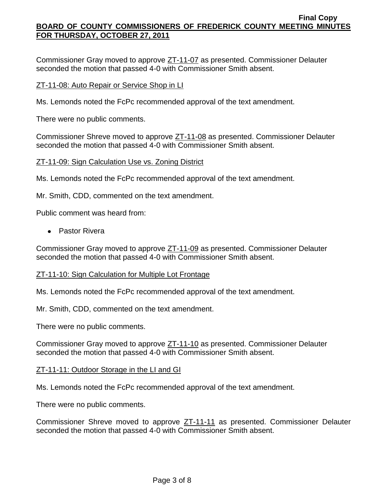Commissioner Gray moved to approve ZT-11-07 as presented. Commissioner Delauter seconded the motion that passed 4-0 with Commissioner Smith absent.

### ZT-11-08: Auto Repair or Service Shop in LI

Ms. Lemonds noted the FcPc recommended approval of the text amendment.

There were no public comments.

Commissioner Shreve moved to approve ZT-11-08 as presented. Commissioner Delauter seconded the motion that passed 4-0 with Commissioner Smith absent.

### ZT-11-09: Sign Calculation Use vs. Zoning District

Ms. Lemonds noted the FcPc recommended approval of the text amendment.

Mr. Smith, CDD, commented on the text amendment.

Public comment was heard from:

Pastor Rivera

Commissioner Gray moved to approve ZT-11-09 as presented. Commissioner Delauter seconded the motion that passed 4-0 with Commissioner Smith absent.

### ZT-11-10: Sign Calculation for Multiple Lot Frontage

Ms. Lemonds noted the FcPc recommended approval of the text amendment.

Mr. Smith, CDD, commented on the text amendment.

There were no public comments.

Commissioner Gray moved to approve ZT-11-10 as presented. Commissioner Delauter seconded the motion that passed 4-0 with Commissioner Smith absent.

### ZT-11-11: Outdoor Storage in the LI and GI

Ms. Lemonds noted the FcPc recommended approval of the text amendment.

There were no public comments.

Commissioner Shreve moved to approve ZT-11-11 as presented. Commissioner Delauter seconded the motion that passed 4-0 with Commissioner Smith absent.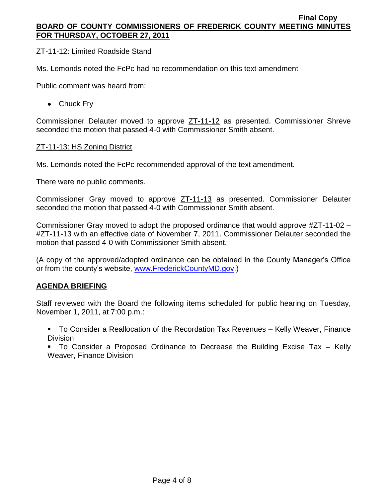# ZT-11-12: Limited Roadside Stand

Ms. Lemonds noted the FcPc had no recommendation on this text amendment

Public comment was heard from:

• Chuck Fry

Commissioner Delauter moved to approve ZT-11-12 as presented. Commissioner Shreve seconded the motion that passed 4-0 with Commissioner Smith absent.

# ZT-11-13: HS Zoning District

Ms. Lemonds noted the FcPc recommended approval of the text amendment.

There were no public comments.

Commissioner Gray moved to approve ZT-11-13 as presented. Commissioner Delauter seconded the motion that passed 4-0 with Commissioner Smith absent.

Commissioner Gray moved to adopt the proposed ordinance that would approve #ZT-11-02 – #ZT-11-13 with an effective date of November 7, 2011. Commissioner Delauter seconded the motion that passed 4-0 with Commissioner Smith absent.

(A copy of the approved/adopted ordinance can be obtained in the County Manager's Office or from the county's website, [www.FrederickCountyMD.gov.](http://www.frederickcountymd.gov/))

# **AGENDA BRIEFING**

Staff reviewed with the Board the following items scheduled for public hearing on Tuesday, November 1, 2011, at 7:00 p.m.:

 To Consider a Reallocation of the Recordation Tax Revenues – Kelly Weaver, Finance **Division** 

 To Consider a Proposed Ordinance to Decrease the Building Excise Tax – Kelly Weaver, Finance Division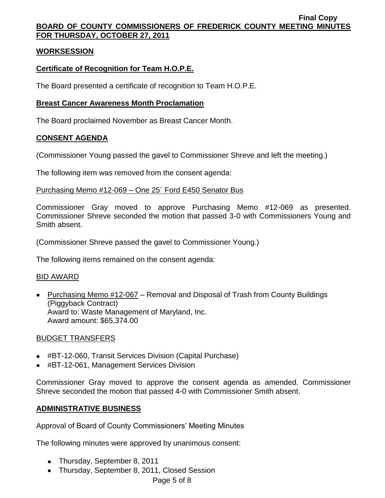# **WORKSESSION**

# **Certificate of Recognition for Team H.O.P.E.**

The Board presented a certificate of recognition to Team H.O.P.E.

# **Breast Cancer Awareness Month Proclamation**

The Board proclaimed November as Breast Cancer Month.

# **CONSENT AGENDA**

(Commissioner Young passed the gavel to Commissioner Shreve and left the meeting.)

The following item was removed from the consent agenda:

# Purchasing Memo #12-069 – One 25´ Ford E450 Senator Bus

Commissioner Gray moved to approve Purchasing Memo #12-069 as presented. Commissioner Shreve seconded the motion that passed 3-0 with Commissioners Young and Smith absent.

(Commissioner Shreve passed the gavel to Commissioner Young.)

The following items remained on the consent agenda:

# BID AWARD

• Purchasing Memo #12-067 – Removal and Disposal of Trash from County Buildings (Piggyback Contract) Award to: Waste Management of Maryland, Inc. Award amount: \$65,374.00

# BUDGET TRANSFERS

- #BT-12-060, Transit Services Division (Capital Purchase)
- #BT-12-061, Management Services Division

Commissioner Gray moved to approve the consent agenda as amended. Commissioner Shreve seconded the motion that passed 4-0 with Commissioner Smith absent.

# **ADMINISTRATIVE BUSINESS**

Approval of Board of County Commissioners' Meeting Minutes

The following minutes were approved by unanimous consent:

- Thursday, September 8, 2011
- Thursday, September 8, 2011, Closed Session

Page 5 of 8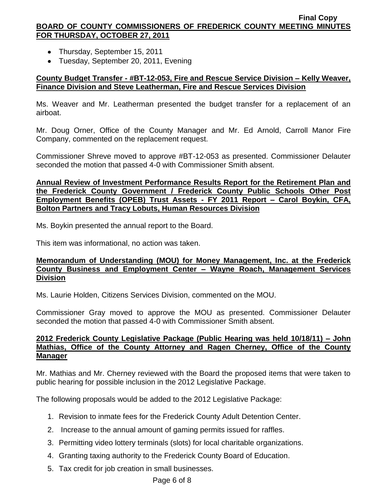- Thursday, September 15, 2011
- Tuesday, September 20, 2011, Evening

# **County Budget Transfer - #BT-12-053, Fire and Rescue Service Division – Kelly Weaver, Finance Division and Steve Leatherman, Fire and Rescue Services Division**

Ms. Weaver and Mr. Leatherman presented the budget transfer for a replacement of an airboat.

Mr. Doug Orner, Office of the County Manager and Mr. Ed Arnold, Carroll Manor Fire Company, commented on the replacement request.

Commissioner Shreve moved to approve #BT-12-053 as presented. Commissioner Delauter seconded the motion that passed 4-0 with Commissioner Smith absent.

# **Annual Review of Investment Performance Results Report for the Retirement Plan and the Frederick County Government / Frederick County Public Schools Other Post Employment Benefits (OPEB) Trust Assets - FY 2011 Report – Carol Boykin, CFA, Bolton Partners and Tracy Lobuts, Human Resources Division**

Ms. Boykin presented the annual report to the Board.

This item was informational, no action was taken.

# **Memorandum of Understanding (MOU) for Money Management, Inc. at the Frederick County Business and Employment Center – Wayne Roach, Management Services Division**

Ms. Laurie Holden, Citizens Services Division, commented on the MOU.

Commissioner Gray moved to approve the MOU as presented. Commissioner Delauter seconded the motion that passed 4-0 with Commissioner Smith absent.

# **2012 Frederick County Legislative Package (Public Hearing was held 10/18/11) – John Mathias, Office of the County Attorney and Ragen Cherney, Office of the County Manager**

Mr. Mathias and Mr. Cherney reviewed with the Board the proposed items that were taken to public hearing for possible inclusion in the 2012 Legislative Package.

The following proposals would be added to the 2012 Legislative Package:

- 1. Revision to inmate fees for the Frederick County Adult Detention Center.
- 2. Increase to the annual amount of gaming permits issued for raffles.
- 3. Permitting video lottery terminals (slots) for local charitable organizations.
- 4. Granting taxing authority to the Frederick County Board of Education.
- 5. Tax credit for job creation in small businesses.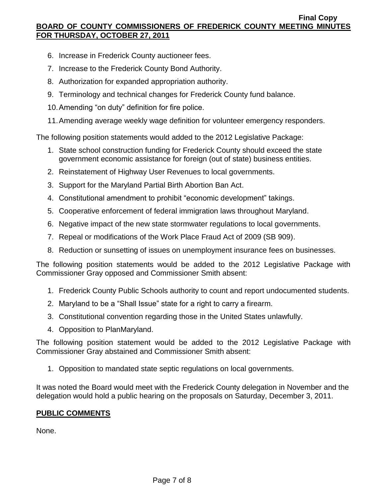- 6. Increase in Frederick County auctioneer fees.
- 7. Increase to the Frederick County Bond Authority.
- 8. Authorization for expanded appropriation authority.
- 9. Terminology and technical changes for Frederick County fund balance.
- 10.Amending "on duty" definition for fire police.
- 11.Amending average weekly wage definition for volunteer emergency responders.

The following position statements would added to the 2012 Legislative Package:

- 1. State school construction funding for Frederick County should exceed the state government economic assistance for foreign (out of state) business entities.
- 2. Reinstatement of Highway User Revenues to local governments.
- 3. Support for the Maryland Partial Birth Abortion Ban Act.
- 4. Constitutional amendment to prohibit "economic development" takings.
- 5. Cooperative enforcement of federal immigration laws throughout Maryland.
- 6. Negative impact of the new state stormwater regulations to local governments.
- 7. Repeal or modifications of the Work Place Fraud Act of 2009 (SB 909).
- 8. Reduction or sunsetting of issues on unemployment insurance fees on businesses.

The following position statements would be added to the 2012 Legislative Package with Commissioner Gray opposed and Commissioner Smith absent:

- 1. Frederick County Public Schools authority to count and report undocumented students.
- 2. Maryland to be a "Shall Issue" state for a right to carry a firearm.
- 3. Constitutional convention regarding those in the United States unlawfully.
- 4. Opposition to PlanMaryland.

The following position statement would be added to the 2012 Legislative Package with Commissioner Gray abstained and Commissioner Smith absent:

1. Opposition to mandated state septic regulations on local governments.

It was noted the Board would meet with the Frederick County delegation in November and the delegation would hold a public hearing on the proposals on Saturday, December 3, 2011.

# **PUBLIC COMMENTS**

None.